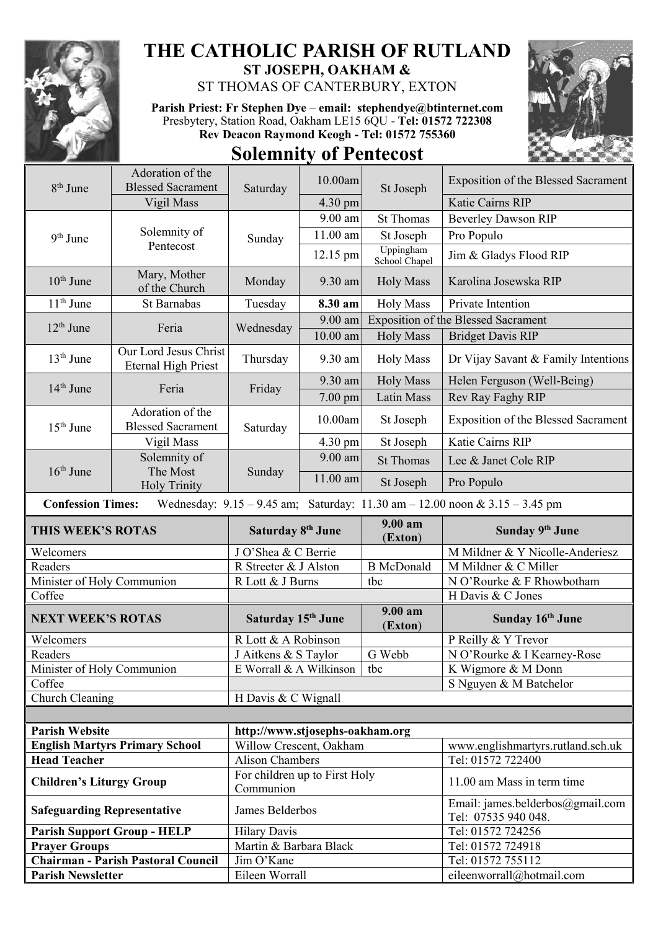

## **THE CATHOLIC PARISH OF RUTLAND ST JOSEPH, OAKHAM &**

ST THOMAS OF CANTERBURY, EXTON

**Parish Priest: Fr Stephen Dye** – **[email: stephendye@btinternet.com](mailto:email:%20%20stephendye@btinternet.com)** Presbytery, Station Road, Oakham LE15 6QU - **Tel: 01572 722308 Rev Deacon Raymond Keogh - Tel: 01572 755360 Solemnity of Pentecost**



| 8 <sup>th</sup> June                                                                                                | Adoration of the<br><b>Blessed Sacrament</b>        | Saturday           | 10.00am           | St Joseph                                  | <b>Exposition of the Blessed Sacrament</b> |
|---------------------------------------------------------------------------------------------------------------------|-----------------------------------------------------|--------------------|-------------------|--------------------------------------------|--------------------------------------------|
|                                                                                                                     | Vigil Mass                                          |                    | $4.30 \text{ pm}$ |                                            | Katie Cairns RIP                           |
| $9th$ June                                                                                                          | Solemnity of<br>Pentecost                           | Sunday             | 9.00 am           | <b>St Thomas</b>                           | <b>Beverley Dawson RIP</b>                 |
|                                                                                                                     |                                                     |                    | $11.00$ am        | St Joseph                                  | Pro Populo                                 |
|                                                                                                                     |                                                     |                    | 12.15 pm          | Uppingham<br>School Chapel                 | Jim & Gladys Flood RIP                     |
| $10th$ June                                                                                                         | Mary, Mother<br>of the Church                       | Monday             | 9.30 am           | <b>Holy Mass</b>                           | Karolina Josewska RIP                      |
| $11th$ June                                                                                                         | St Barnabas                                         | Tuesday            | 8.30 am           | <b>Holy Mass</b>                           | Private Intention                          |
| $12th$ June                                                                                                         | Feria                                               | Wednesday          | 9.00 am           | <b>Exposition of the Blessed Sacrament</b> |                                            |
|                                                                                                                     |                                                     |                    | $10.00$ am        | <b>Holy Mass</b>                           | <b>Bridget Davis RIP</b>                   |
| $13th$ June                                                                                                         | Our Lord Jesus Christ<br><b>Eternal High Priest</b> | Thursday           | 9.30 am           | <b>Holy Mass</b>                           | Dr Vijay Savant & Family Intentions        |
| 14 <sup>th</sup> June                                                                                               | Feria                                               | Friday             | 9.30 am           | <b>Holy Mass</b>                           | Helen Ferguson (Well-Being)                |
|                                                                                                                     |                                                     |                    | 7.00 pm           | Latin Mass                                 | Rev Ray Faghy RIP                          |
| $15th$ June                                                                                                         | Adoration of the<br><b>Blessed Sacrament</b>        | Saturday           | 10.00am           | St Joseph                                  | <b>Exposition of the Blessed Sacrament</b> |
|                                                                                                                     | Vigil Mass                                          |                    | $4.30 \text{ pm}$ | St Joseph                                  | Katie Cairns RIP                           |
| $16th$ June                                                                                                         | Solemnity of                                        | The Most<br>Sunday | $9.00$ am         | <b>St Thomas</b>                           | Lee & Janet Cole RIP                       |
|                                                                                                                     | <b>Holy Trinity</b>                                 |                    | 11.00 am          | St Joseph                                  | Pro Populo                                 |
| <sup>~</sup> onfession Times,<br>Wednesday: $0.15$ $0.45$ am: Saturday: $11.30$ am $12.00$ noon $\& 3.15$ $3.45$ pm |                                                     |                    |                   |                                            |                                            |

 **Confession Times:** Wednesday: 9.15 – 9.45 am; Saturday: 11.30 am – 12.00 noon & 3.15 – 3.45 pm

| THIS WEEK'S ROTAS          | Saturday 8 <sup>th</sup> June  | $9.00 a$ m<br>(Exton) | Sunday 9th June                 |
|----------------------------|--------------------------------|-----------------------|---------------------------------|
| Welcomers                  | J O'Shea & C Berrie            |                       | M Mildner & Y Nicolle-Anderiesz |
| Readers                    | R Streeter & J Alston          | <b>B</b> McDonald     | M Mildner & C Miller            |
| Minister of Holy Communion | R Lott & J Burns               | tbc                   | N O'Rourke & F Rhowbotham       |
| Coffee                     |                                |                       | H Davis & C Jones               |
|                            |                                |                       |                                 |
| <b>NEXT WEEK'S ROTAS</b>   | Saturday 15 <sup>th</sup> June | $9.00 a$ m<br>(Exton) | Sunday 16th June                |
| Welcomers                  | R Lott & A Robinson            |                       | P Reilly & Y Trevor             |
| Readers                    | J Aitkens & S Taylor           | G Webb                | N O'Rourke & I Kearney-Rose     |
| Minister of Holy Communion | E Worrall & A Wilkinson        | tbc                   | K Wigmore & M Donn              |
| Coffee                     |                                |                       | S Nguyen & M Batchelor          |

| <b>Parish Website</b>                     | http://www.stjosephs-oakham.org            |                                                         |  |
|-------------------------------------------|--------------------------------------------|---------------------------------------------------------|--|
| <b>English Martyrs Primary School</b>     | Willow Crescent, Oakham                    | www.englishmartyrs.rutland.sch.uk                       |  |
| <b>Head Teacher</b>                       | Alison Chambers                            | Tel: 01572 722400                                       |  |
| <b>Children's Liturgy Group</b>           | For children up to First Holy<br>Communion | 11.00 am Mass in term time                              |  |
| <b>Safeguarding Representative</b>        | James Belderbos                            | Email: james.belderbos@gmail.com<br>Tel: 07535 940 048. |  |
| <b>Parish Support Group - HELP</b>        | <b>Hilary Davis</b>                        | Tel: 01572 724256                                       |  |
| <b>Prayer Groups</b>                      | Martin & Barbara Black                     | Tel: 01572 724918                                       |  |
| <b>Chairman - Parish Pastoral Council</b> | Jim O'Kane                                 | Tel: 01572 755112                                       |  |
| <b>Parish Newsletter</b>                  | Eileen Worrall                             | eileenworrall@hotmail.com                               |  |